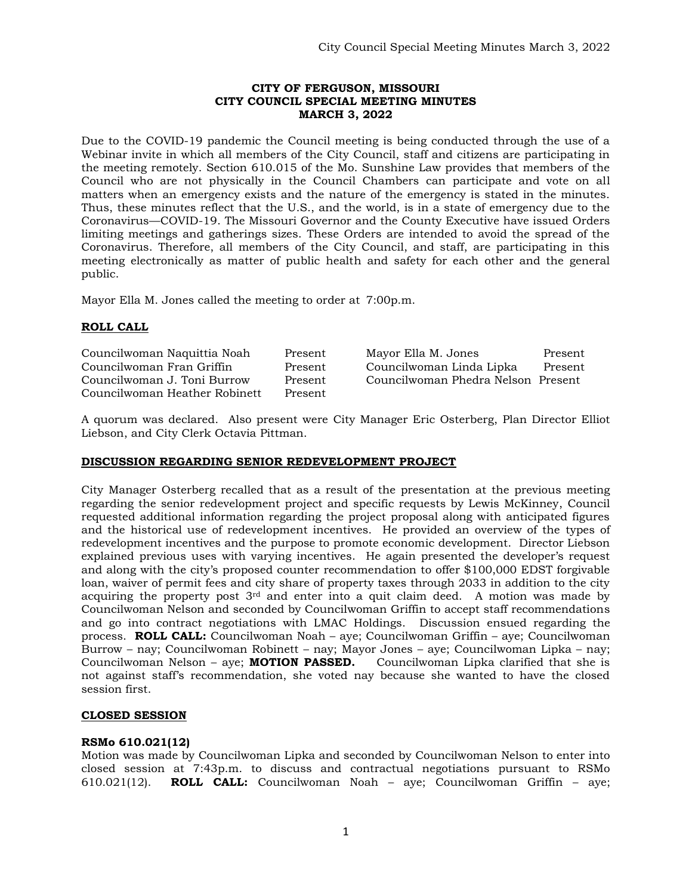## **CITY OF FERGUSON, MISSOURI CITY COUNCIL SPECIAL MEETING MINUTES MARCH 3, 2022**

Due to the COVID-19 pandemic the Council meeting is being conducted through the use of a Webinar invite in which all members of the City Council, staff and citizens are participating in the meeting remotely. Section 610.015 of the Mo. Sunshine Law provides that members of the Council who are not physically in the Council Chambers can participate and vote on all matters when an emergency exists and the nature of the emergency is stated in the minutes. Thus, these minutes reflect that the U.S., and the world, is in a state of emergency due to the Coronavirus—COVID-19. The Missouri Governor and the County Executive have issued Orders limiting meetings and gatherings sizes. These Orders are intended to avoid the spread of the Coronavirus. Therefore, all members of the City Council, and staff, are participating in this meeting electronically as matter of public health and safety for each other and the general public.

Mayor Ella M. Jones called the meeting to order at 7:00p.m.

# **ROLL CALL**

| Councilwoman Naquittia Noah   | Present | Mayor Ella M. Jones                | Present |
|-------------------------------|---------|------------------------------------|---------|
| Councilwoman Fran Griffin     | Present | Councilwoman Linda Lipka           | Present |
| Councilwoman J. Toni Burrow   | Present | Councilwoman Phedra Nelson Present |         |
| Councilwoman Heather Robinett | Present |                                    |         |

A quorum was declared. Also present were City Manager Eric Osterberg, Plan Director Elliot Liebson, and City Clerk Octavia Pittman.

## **DISCUSSION REGARDING SENIOR REDEVELOPMENT PROJECT**

City Manager Osterberg recalled that as a result of the presentation at the previous meeting regarding the senior redevelopment project and specific requests by Lewis McKinney, Council requested additional information regarding the project proposal along with anticipated figures and the historical use of redevelopment incentives. He provided an overview of the types of redevelopment incentives and the purpose to promote economic development. Director Liebson explained previous uses with varying incentives. He again presented the developer's request and along with the city's proposed counter recommendation to offer \$100,000 EDST forgivable loan, waiver of permit fees and city share of property taxes through 2033 in addition to the city acquiring the property post  $3<sup>rd</sup>$  and enter into a quit claim deed. A motion was made by Councilwoman Nelson and seconded by Councilwoman Griffin to accept staff recommendations and go into contract negotiations with LMAC Holdings. Discussion ensued regarding the process. **ROLL CALL:** Councilwoman Noah – aye; Councilwoman Griffin – aye; Councilwoman Burrow – nay; Councilwoman Robinett – nay; Mayor Jones – aye; Councilwoman Lipka – nay; Councilwoman Nelson – aye; **MOTION PASSED.** Councilwoman Lipka clarified that she is not against staff's recommendation, she voted nay because she wanted to have the closed session first.

#### **CLOSED SESSION**

#### **RSMo 610.021(12)**

Motion was made by Councilwoman Lipka and seconded by Councilwoman Nelson to enter into closed session at 7:43p.m. to discuss and contractual negotiations pursuant to RSMo 610.021(12). **ROLL CALL:** Councilwoman Noah – aye; Councilwoman Griffin – aye;